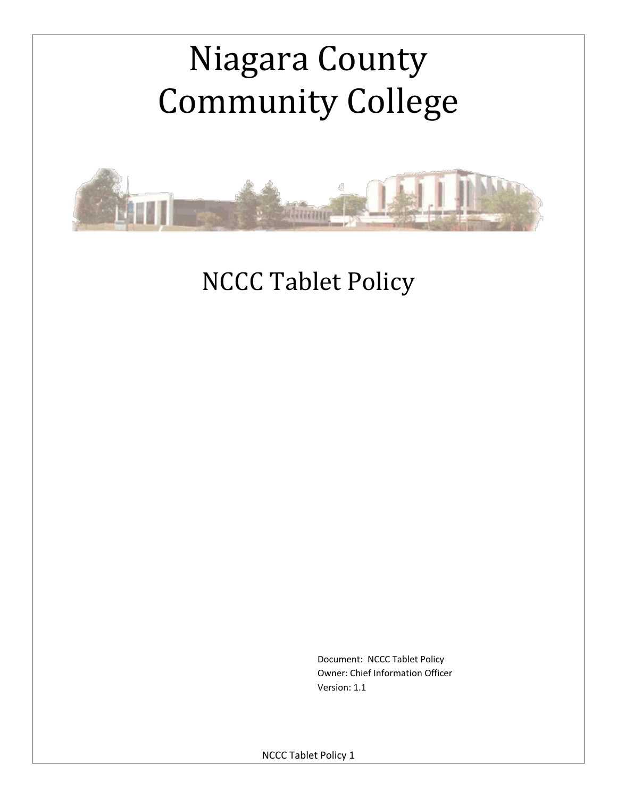# Niagara County Community College



NCCC Tablet Policy

 Document: NCCC Tablet Policy Owner: Chief Information Officer Version: 1.1

NCCC Tablet Policy 1